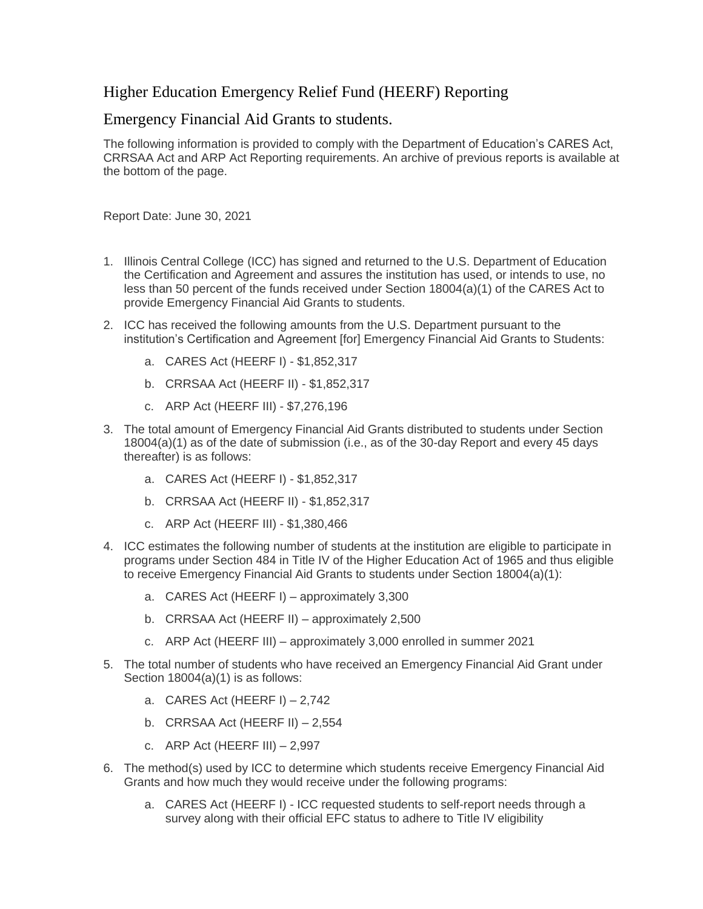## Higher Education Emergency Relief Fund (HEERF) Reporting

## Emergency Financial Aid Grants to students.

The following information is provided to comply with the Department of Education's CARES Act, CRRSAA Act and ARP Act Reporting requirements. An archive of previous reports is available at the bottom of the page.

Report Date: June 30, 2021

- 1. Illinois Central College (ICC) has signed and returned to the U.S. Department of Education the Certification and Agreement and assures the institution has used, or intends to use, no less than 50 percent of the funds received under Section 18004(a)(1) of the CARES Act to provide Emergency Financial Aid Grants to students.
- 2. ICC has received the following amounts from the U.S. Department pursuant to the institution's Certification and Agreement [for] Emergency Financial Aid Grants to Students:
	- a. CARES Act (HEERF I) \$1,852,317
	- b. CRRSAA Act (HEERF II) \$1,852,317
	- c. ARP Act (HEERF III) \$7,276,196
- 3. The total amount of Emergency Financial Aid Grants distributed to students under Section 18004(a)(1) as of the date of submission (i.e., as of the 30-day Report and every 45 days thereafter) is as follows:
	- a. CARES Act (HEERF I) \$1,852,317
	- b. CRRSAA Act (HEERF II) \$1,852,317
	- c. ARP Act (HEERF III) \$1,380,466
- 4. ICC estimates the following number of students at the institution are eligible to participate in programs under Section 484 in Title IV of the Higher Education Act of 1965 and thus eligible to receive Emergency Financial Aid Grants to students under Section 18004(a)(1):
	- a. CARES Act (HEERF I) approximately 3,300
	- b. CRRSAA Act (HEERF II) approximately 2,500
	- c. ARP Act (HEERF III) approximately 3,000 enrolled in summer 2021
- 5. The total number of students who have received an Emergency Financial Aid Grant under Section 18004(a)(1) is as follows:
	- a. CARES Act (HEERF I) 2,742
	- b. CRRSAA Act (HEERF II) 2,554
	- c. ARP Act (HEERF III)  $-2,997$
- 6. The method(s) used by ICC to determine which students receive Emergency Financial Aid Grants and how much they would receive under the following programs:
	- a. CARES Act (HEERF I) ICC requested students to self-report needs through a survey along with their official EFC status to adhere to Title IV eligibility